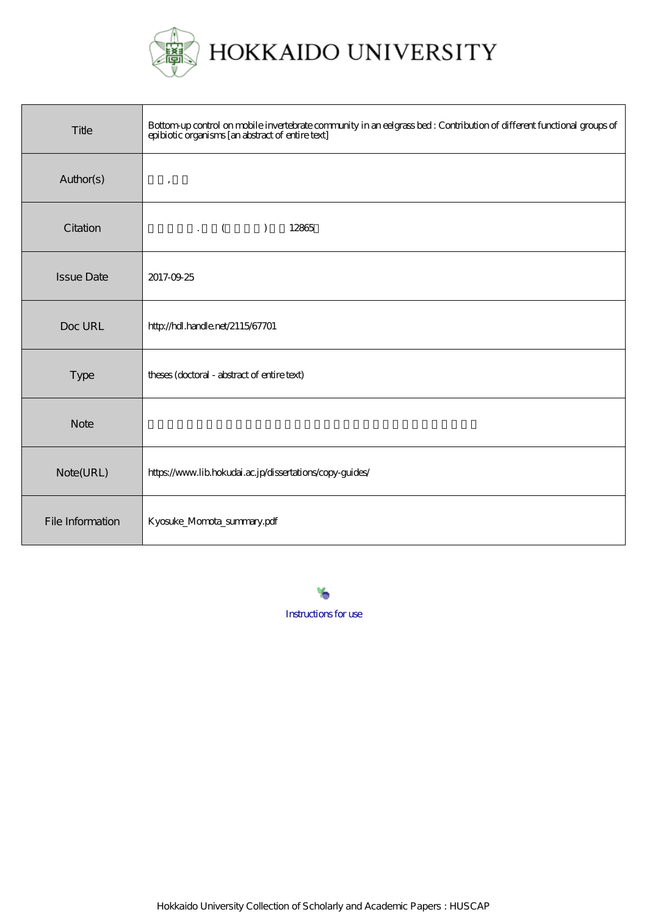

| Title             | Bottom-up control on mobile invertebrate community in an eelgrass bed : Contribution of different functional groups of<br>epibiotic organisms [an abstract of entire text] |
|-------------------|----------------------------------------------------------------------------------------------------------------------------------------------------------------------------|
| Author(s)         | $\,$                                                                                                                                                                       |
| Citation          | $\mathbf{L} \qquad \begin{pmatrix} 0 & 1 \\ 0 & 1 \end{pmatrix}$<br>12865                                                                                                  |
| <b>Issue Date</b> | 2017-09-25                                                                                                                                                                 |
| Doc URL           | http://hdl.handle.net/2115/67701                                                                                                                                           |
| Type              | theses (doctoral - abstract of entire text)                                                                                                                                |
| <b>Note</b>       |                                                                                                                                                                            |
| Note(URL)         | https://www.lib.hokudai.ac.jp/dissertations/copy-guides/                                                                                                                   |
| File Information  | Kyosuke_Momota_summary.pdf                                                                                                                                                 |

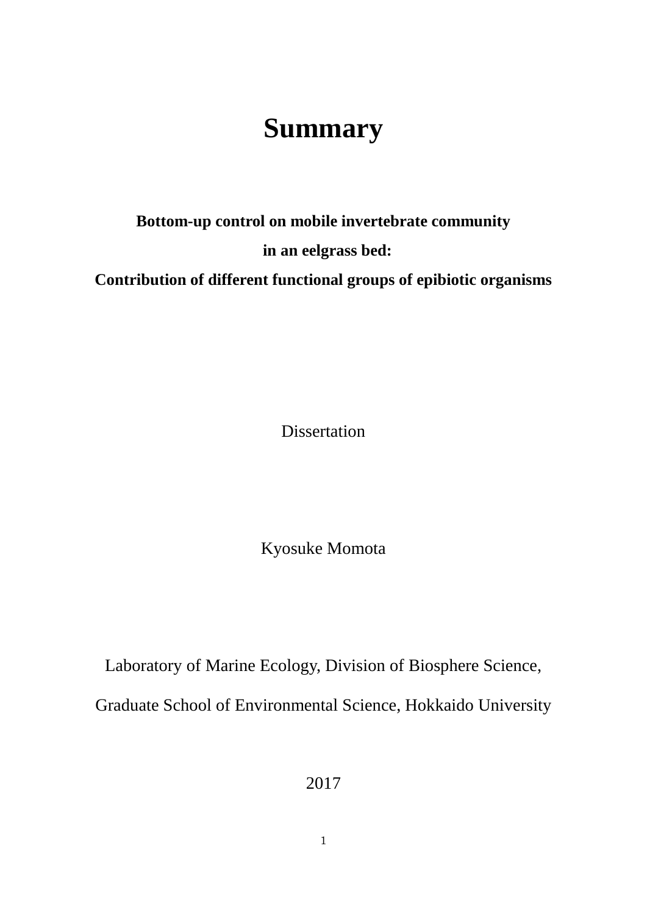## **Summary**

## **Bottom-up control on mobile invertebrate community in an eelgrass bed: Contribution of different functional groups of epibiotic organisms**

Dissertation

Kyosuke Momota

Laboratory of Marine Ecology, Division of Biosphere Science, Graduate School of Environmental Science, Hokkaido University

2017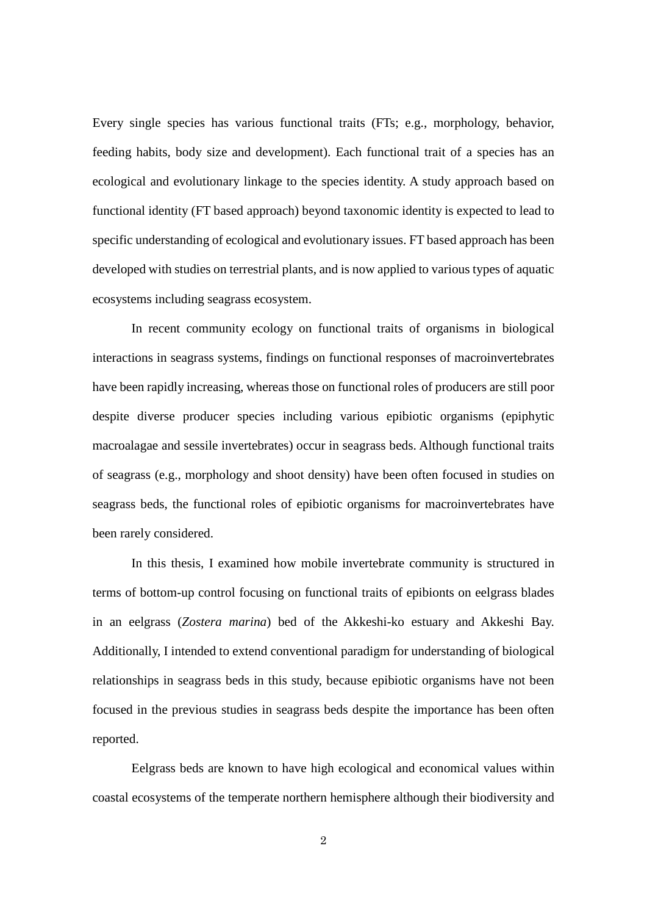Every single species has various functional traits (FTs; e.g., morphology, behavior, feeding habits, body size and development). Each functional trait of a species has an ecological and evolutionary linkage to the species identity. A study approach based on functional identity (FT based approach) beyond taxonomic identity is expected to lead to specific understanding of ecological and evolutionary issues. FT based approach has been developed with studies on terrestrial plants, and is now applied to various types of aquatic ecosystems including seagrass ecosystem.

In recent community ecology on functional traits of organisms in biological interactions in seagrass systems, findings on functional responses of macroinvertebrates have been rapidly increasing, whereas those on functional roles of producers are still poor despite diverse producer species including various epibiotic organisms (epiphytic macroalagae and sessile invertebrates) occur in seagrass beds. Although functional traits of seagrass (e.g., morphology and shoot density) have been often focused in studies on seagrass beds, the functional roles of epibiotic organisms for macroinvertebrates have been rarely considered.

In this thesis, I examined how mobile invertebrate community is structured in terms of bottom-up control focusing on functional traits of epibionts on eelgrass blades in an eelgrass (*Zostera marina*) bed of the Akkeshi-ko estuary and Akkeshi Bay. Additionally, I intended to extend conventional paradigm for understanding of biological relationships in seagrass beds in this study, because epibiotic organisms have not been focused in the previous studies in seagrass beds despite the importance has been often reported.

Eelgrass beds are known to have high ecological and economical values within coastal ecosystems of the temperate northern hemisphere although their biodiversity and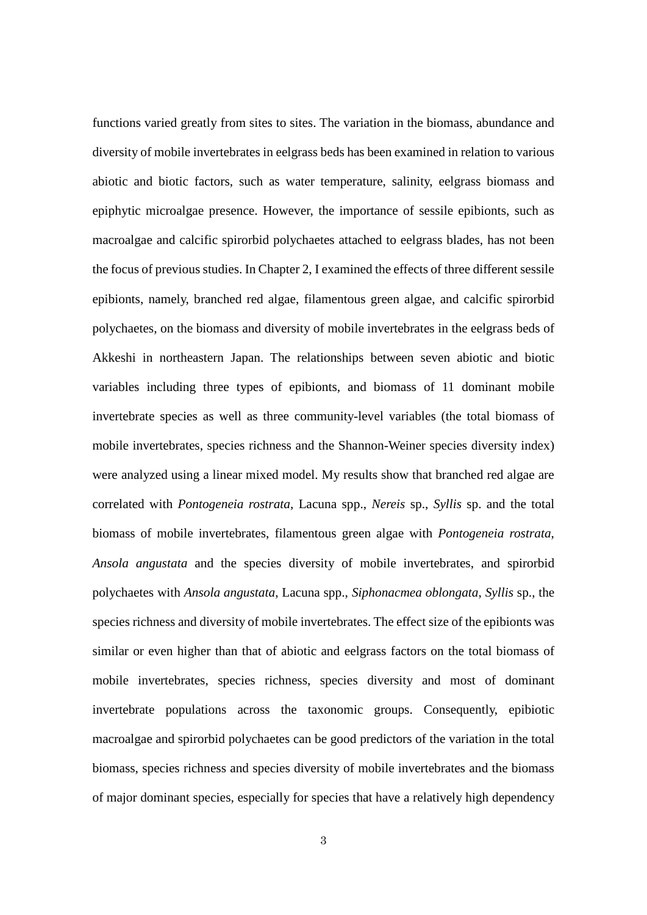functions varied greatly from sites to sites. The variation in the biomass, abundance and diversity of mobile invertebrates in eelgrass beds has been examined in relation to various abiotic and biotic factors, such as water temperature, salinity, eelgrass biomass and epiphytic microalgae presence. However, the importance of sessile epibionts, such as macroalgae and calcific spirorbid polychaetes attached to eelgrass blades, has not been the focus of previous studies. In Chapter 2, I examined the effects of three different sessile epibionts, namely, branched red algae, filamentous green algae, and calcific spirorbid polychaetes, on the biomass and diversity of mobile invertebrates in the eelgrass beds of Akkeshi in northeastern Japan. The relationships between seven abiotic and biotic variables including three types of epibionts, and biomass of 11 dominant mobile invertebrate species as well as three community-level variables (the total biomass of mobile invertebrates, species richness and the Shannon-Weiner species diversity index) were analyzed using a linear mixed model. My results show that branched red algae are correlated with *Pontogeneia rostrata*, Lacuna spp., *Nereis* sp., *Syllis* sp. and the total biomass of mobile invertebrates, filamentous green algae with *Pontogeneia rostrata*, *Ansola angustata* and the species diversity of mobile invertebrates, and spirorbid polychaetes with *Ansola angustata*, Lacuna spp., *Siphonacmea oblongata*, *Syllis* sp., the species richness and diversity of mobile invertebrates. The effect size of the epibionts was similar or even higher than that of abiotic and eelgrass factors on the total biomass of mobile invertebrates, species richness, species diversity and most of dominant invertebrate populations across the taxonomic groups. Consequently, epibiotic macroalgae and spirorbid polychaetes can be good predictors of the variation in the total biomass, species richness and species diversity of mobile invertebrates and the biomass of major dominant species, especially for species that have a relatively high dependency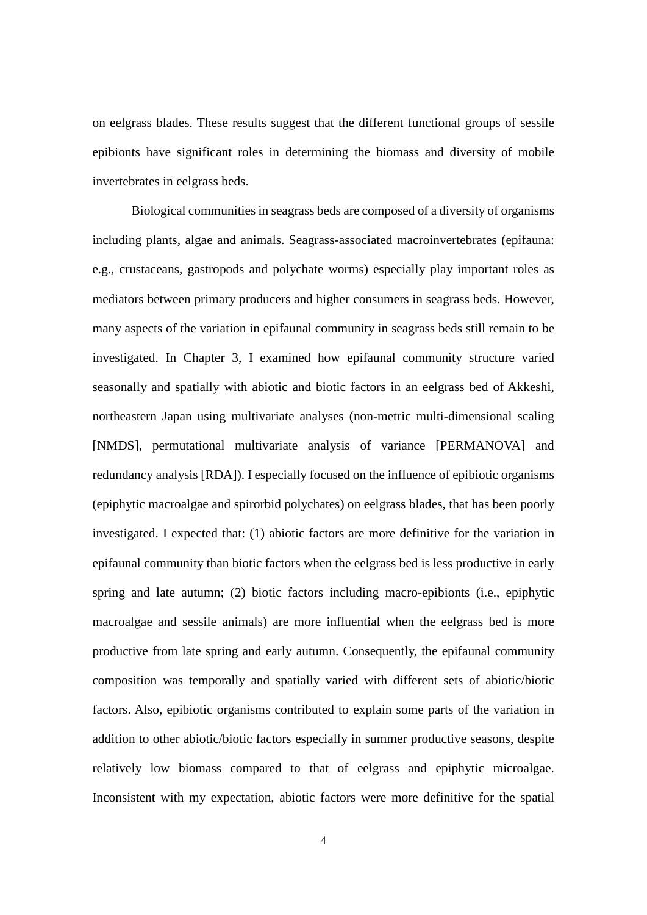on eelgrass blades. These results suggest that the different functional groups of sessile epibionts have significant roles in determining the biomass and diversity of mobile invertebrates in eelgrass beds.

Biological communities in seagrass beds are composed of a diversity of organisms including plants, algae and animals. Seagrass-associated macroinvertebrates (epifauna: e.g., crustaceans, gastropods and polychate worms) especially play important roles as mediators between primary producers and higher consumers in seagrass beds. However, many aspects of the variation in epifaunal community in seagrass beds still remain to be investigated. In Chapter 3, I examined how epifaunal community structure varied seasonally and spatially with abiotic and biotic factors in an eelgrass bed of Akkeshi, northeastern Japan using multivariate analyses (non-metric multi-dimensional scaling [NMDS], permutational multivariate analysis of variance [PERMANOVA] and redundancy analysis [RDA]). I especially focused on the influence of epibiotic organisms (epiphytic macroalgae and spirorbid polychates) on eelgrass blades, that has been poorly investigated. I expected that: (1) abiotic factors are more definitive for the variation in epifaunal community than biotic factors when the eelgrass bed is less productive in early spring and late autumn; (2) biotic factors including macro-epibionts (i.e., epiphytic macroalgae and sessile animals) are more influential when the eelgrass bed is more productive from late spring and early autumn. Consequently, the epifaunal community composition was temporally and spatially varied with different sets of abiotic/biotic factors. Also, epibiotic organisms contributed to explain some parts of the variation in addition to other abiotic/biotic factors especially in summer productive seasons, despite relatively low biomass compared to that of eelgrass and epiphytic microalgae. Inconsistent with my expectation, abiotic factors were more definitive for the spatial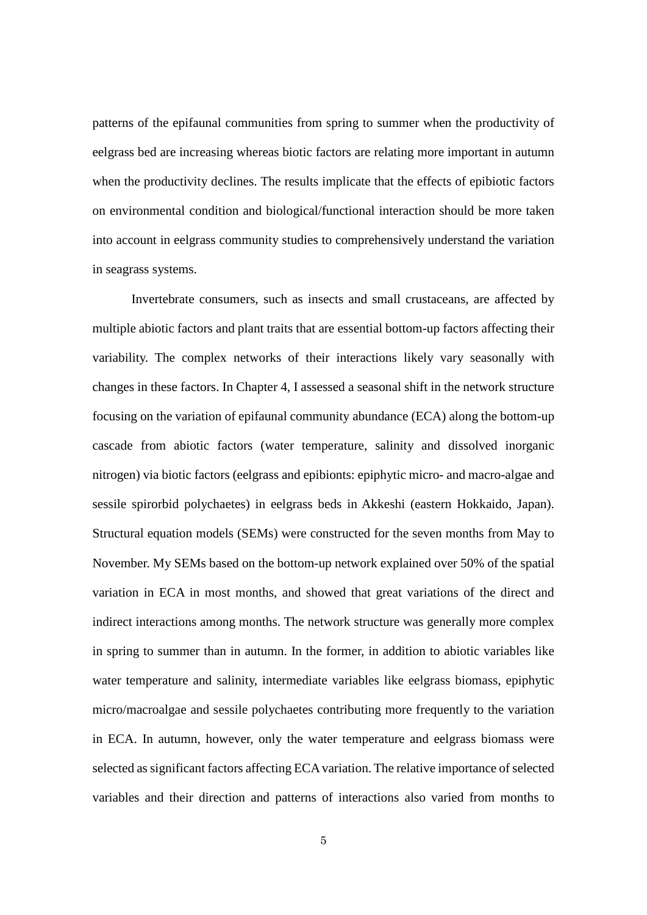patterns of the epifaunal communities from spring to summer when the productivity of eelgrass bed are increasing whereas biotic factors are relating more important in autumn when the productivity declines. The results implicate that the effects of epibiotic factors on environmental condition and biological/functional interaction should be more taken into account in eelgrass community studies to comprehensively understand the variation in seagrass systems.

Invertebrate consumers, such as insects and small crustaceans, are affected by multiple abiotic factors and plant traits that are essential bottom-up factors affecting their variability. The complex networks of their interactions likely vary seasonally with changes in these factors. In Chapter 4, I assessed a seasonal shift in the network structure focusing on the variation of epifaunal community abundance (ECA) along the bottom-up cascade from abiotic factors (water temperature, salinity and dissolved inorganic nitrogen) via biotic factors (eelgrass and epibionts: epiphytic micro- and macro-algae and sessile spirorbid polychaetes) in eelgrass beds in Akkeshi (eastern Hokkaido, Japan). Structural equation models (SEMs) were constructed for the seven months from May to November. My SEMs based on the bottom-up network explained over 50% of the spatial variation in ECA in most months, and showed that great variations of the direct and indirect interactions among months. The network structure was generally more complex in spring to summer than in autumn. In the former, in addition to abiotic variables like water temperature and salinity, intermediate variables like eelgrass biomass, epiphytic micro/macroalgae and sessile polychaetes contributing more frequently to the variation in ECA. In autumn, however, only the water temperature and eelgrass biomass were selected as significant factors affecting ECA variation. The relative importance of selected variables and their direction and patterns of interactions also varied from months to